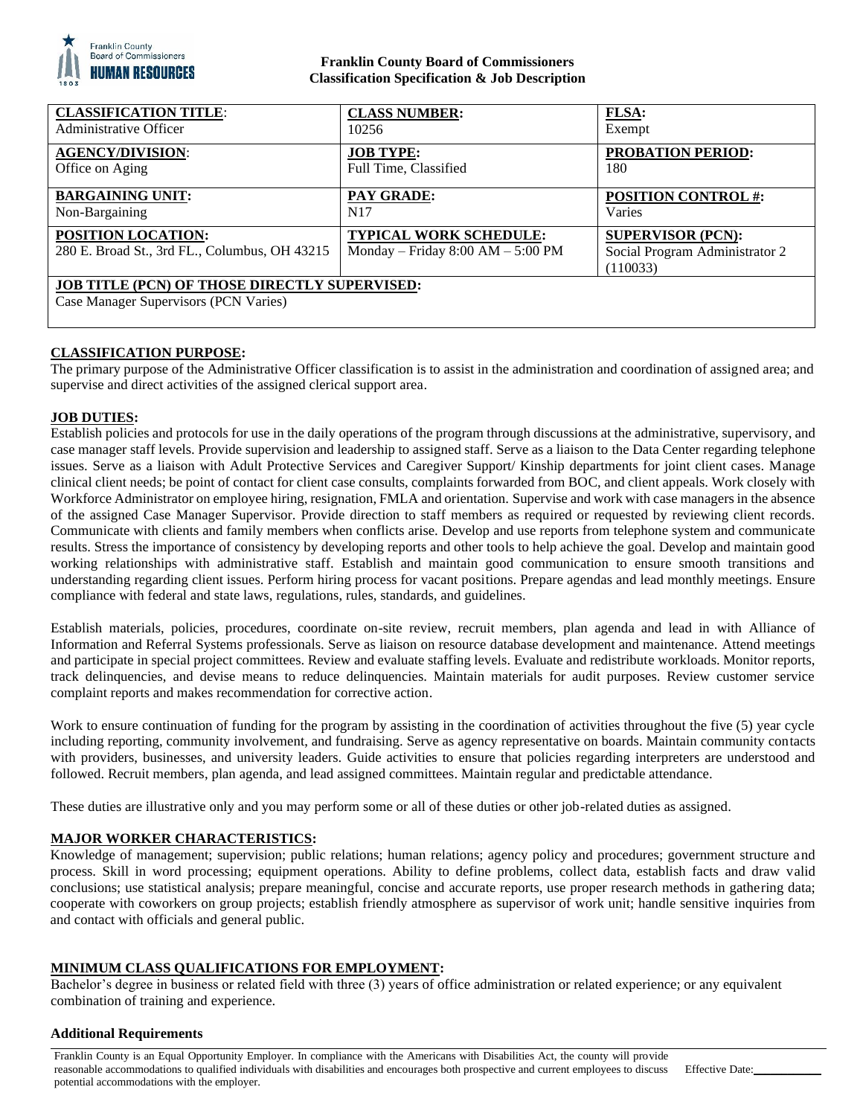

### **Franklin County Board of Commissioners Classification Specification & Job Description**

| <b>CLASSIFICATION TITLE:</b>                                                                  | <b>CLASS NUMBER:</b>                                                 | <b>FLSA:</b>                                                           |
|-----------------------------------------------------------------------------------------------|----------------------------------------------------------------------|------------------------------------------------------------------------|
| Administrative Officer                                                                        | 10256                                                                | Exempt                                                                 |
| <b>AGENCY/DIVISION:</b>                                                                       | <b>JOB TYPE:</b>                                                     | <b>PROBATION PERIOD:</b>                                               |
| Office on Aging                                                                               | Full Time, Classified                                                | 180                                                                    |
| <b>BARGAINING UNIT:</b>                                                                       | <b>PAY GRADE:</b>                                                    | <b>POSITION CONTROL#:</b>                                              |
| Non-Bargaining                                                                                | N <sub>17</sub>                                                      | Varies                                                                 |
| <b>POSITION LOCATION:</b><br>280 E. Broad St., 3rd FL., Columbus, OH 43215                    | <b>TYPICAL WORK SCHEDULE:</b><br>Monday – Friday $8:00 AM - 5:00 PM$ | <b>SUPERVISOR (PCN):</b><br>Social Program Administrator 2<br>(110033) |
| <b>JOB TITLE (PCN) OF THOSE DIRECTLY SUPERVISED:</b><br>Case Manager Supervisors (PCN Varies) |                                                                      |                                                                        |

# **CLASSIFICATION PURPOSE:**

The primary purpose of the Administrative Officer classification is to assist in the administration and coordination of assigned area; and supervise and direct activities of the assigned clerical support area.

### **JOB DUTIES:**

Establish policies and protocols for use in the daily operations of the program through discussions at the administrative, supervisory, and case manager staff levels. Provide supervision and leadership to assigned staff. Serve as a liaison to the Data Center regarding telephone issues. Serve as a liaison with Adult Protective Services and Caregiver Support/ Kinship departments for joint client cases. Manage clinical client needs; be point of contact for client case consults, complaints forwarded from BOC, and client appeals. Work closely with Workforce Administrator on employee hiring, resignation, FMLA and orientation. Supervise and work with case managers in the absence of the assigned Case Manager Supervisor. Provide direction to staff members as required or requested by reviewing client records. Communicate with clients and family members when conflicts arise. Develop and use reports from telephone system and communicate results. Stress the importance of consistency by developing reports and other tools to help achieve the goal. Develop and maintain good working relationships with administrative staff. Establish and maintain good communication to ensure smooth transitions and understanding regarding client issues. Perform hiring process for vacant positions. Prepare agendas and lead monthly meetings. Ensure compliance with federal and state laws, regulations, rules, standards, and guidelines.

Establish materials, policies, procedures, coordinate on-site review, recruit members, plan agenda and lead in with Alliance of Information and Referral Systems professionals. Serve as liaison on resource database development and maintenance. Attend meetings and participate in special project committees. Review and evaluate staffing levels. Evaluate and redistribute workloads. Monitor reports, track delinquencies, and devise means to reduce delinquencies. Maintain materials for audit purposes. Review customer service complaint reports and makes recommendation for corrective action.

Work to ensure continuation of funding for the program by assisting in the coordination of activities throughout the five (5) year cycle including reporting, community involvement, and fundraising. Serve as agency representative on boards. Maintain community contacts with providers, businesses, and university leaders. Guide activities to ensure that policies regarding interpreters are understood and followed. Recruit members, plan agenda, and lead assigned committees. Maintain regular and predictable attendance.

These duties are illustrative only and you may perform some or all of these duties or other job-related duties as assigned.

### **MAJOR WORKER CHARACTERISTICS:**

Knowledge of management; supervision; public relations; human relations; agency policy and procedures; government structure and process. Skill in word processing; equipment operations. Ability to define problems, collect data, establish facts and draw valid conclusions; use statistical analysis; prepare meaningful, concise and accurate reports, use proper research methods in gathering data; cooperate with coworkers on group projects; establish friendly atmosphere as supervisor of work unit; handle sensitive inquiries from and contact with officials and general public.

### **MINIMUM CLASS QUALIFICATIONS FOR EMPLOYMENT:**

Bachelor's degree in business or related field with three (3) years of office administration or related experience; or any equivalent combination of training and experience.

#### **Additional Requirements**

Franklin County is an Equal Opportunity Employer. In compliance with the Americans with Disabilities Act, the county will provide reasonable accommodations to qualified individuals with disabilities and encourages both prospective and current employees to discuss potential accommodations with the employer.